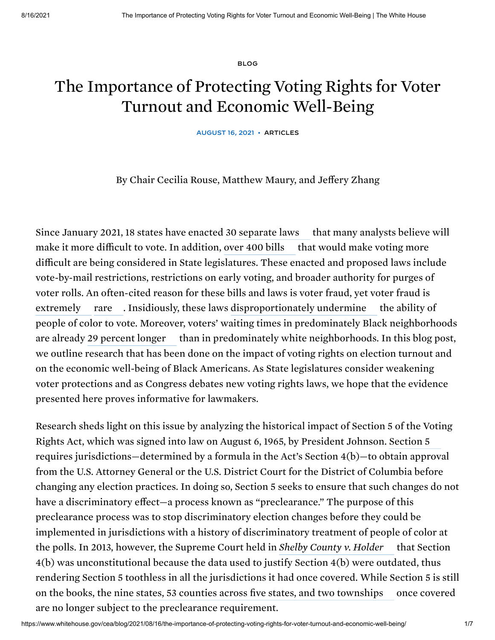[BLOG](https://www.whitehouse.gov/cea/blog/)

## The Importance of Protecting Voting Rights for Voter Turnout and Economic Well-Being

AUGUST 16, 2021 • [ARTICLES](https://www.whitehouse.gov/cea/blog/articles/)

By Chair Cecilia Rouse, Matthew Maury, and Jeffery Zhang

Since January 2021, 18 states have enacted 30 [separate](https://www.brennancenter.org/our-work/research-reports/voting-laws-roundup-july-2021) laws — that many analysts believe will make it more difficult to vote. In addition, [over](https://www.brennancenter.org/our-work/research-reports/voting-laws-roundup-may-2021) 400 bills — that would make voting more difficult are being considered in State legislatures. These enacted and proposed laws include vote-by-mail restrictions, restrictions on early voting, and broader authority for purges of voter rolls. An often-cited reason for these bills and laws is voter fraud, yet voter fraud is [extremely](https://scholar.harvard.edu/files/morse/files/1p1v.pdf) [rare](https://www.brennancenter.org/issues/ensure-every-american-can-vote/vote-suppression/myth-voter-fraud) . Insidiously, these laws [disproportionately](https://www.brennancenter.org/our-work/research-reports/new-voter-suppression) undermine the ability of people of color to vote. Moreover, voters' waiting times in predominately Black neighborhoods are already 29 [percent](https://direct.mit.edu/rest/article/doi/10.1162/rest_a_01012/97747/Racial-Disparities-in-Voting-Wait-Times-Evidence) longer — than in predominately white neighborhoods. In this blog post, we outline research that has been done on the impact of voting rights on election turnout and on the economic well-being of Black Americans. As State legislatures consider weakening voter protections and as Congress debates new voting rights laws, we hope that the evidence presented here proves informative for lawmakers.

Research sheds light on this issue by analyzing the historical impact of Section 5 of the Voting Rights Act, which was signed into law on August 6, 1965, by President Johnson. [Section](https://www.justice.gov/crt/about-section-5-voting-rights-act) 5 requires jurisdictions—determined by a formula in the Act's Section 4(b)—to obtain approval from the U.S. Attorney General or the U.S. District Court for the District of Columbia before changing any election practices. In doing so, Section 5 seeks to ensure that such changes do not have a discriminatory effect—a process known as "preclearance." The purpose of this preclearance process was to stop discriminatory election changes before they could be implemented in jurisdictions with a history of discriminatory treatment of people of color at the polls. In 2013, however, the Supreme Court held in *Shelby [County](https://www.supremecourt.gov/opinions/12pdf/12-96_6k47.pdf) v. Holder* that Section 4(b) was unconstitutional because the data used to justify Section 4(b) were outdated, thus rendering Section 5 toothless in all the jurisdictions it had once covered. While Section 5 is still on the books, the nine states, 53 counties across five states, and two [townships](https://www.justice.gov/crt/jurisdictions-previously-covered-section-5) — once covered are no longer subject to the preclearance requirement.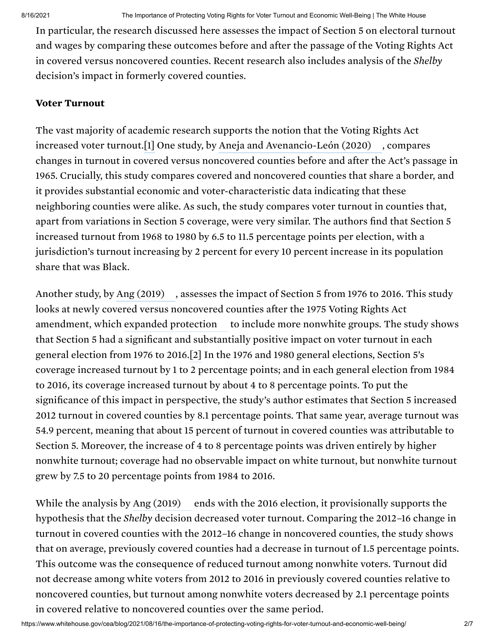In particular, the research discussed here assesses the impact of Section 5 on electoral turnout and wages by comparing these outcomes before and after the passage of the Voting Rights Act in covered versus noncovered counties. Recent research also includes analysis of the *Shelby* decision's impact in formerly covered counties.

## Voter Turnout

The vast majority of academic research supports the notion that the Voting Rights Act increased voter turnout.[1] One study, by Aneja and [Avenancio-León](https://equitablegrowth.org/working-papers/the-effect-of-political-power-on-labor-market-inequality-evidence-from-the-1965-voting-rights-act/) (2020) , compares changes in turnout in covered versus noncovered counties before and after the Act's passage in 1965. Crucially, this study compares covered and noncovered counties that share a border, and it provides substantial economic and voter-characteristic data indicating that these neighboring counties were alike. As such, the study compares voter turnout in counties that, apart from variations in Section 5 coverage, were very similar. The authors find that Section 5 increased turnout from 1968 to 1980 by 6.5 to 11.5 percentage points per election, with a jurisdiction's turnout increasing by 2 percent for every 10 percent increase in its population share that was Black.

Another study, by Ang [\(2019\)](https://www.aeaweb.org/articles?id=10.1257/app.20170572) —, assesses the impact of Section 5 from 1976 to 2016. This study looks at newly covered versus noncovered counties after the 1975 Voting Rights Act amendment, which expanded [protection](https://www.justice.gov/crt/history-federal-voting-rights-laws) — to include more nonwhite groups. The study shows that Section 5 had a significant and substantially positive impact on voter turnout in each general election from 1976 to 2016.[2] In the 1976 and 1980 general elections, Section 5's coverage increased turnout by 1 to 2 percentage points; and in each general election from 1984 to 2016, its coverage increased turnout by about 4 to 8 percentage points. To put the significance of this impact in perspective, the study's author estimates that Section 5 increased 2012 turnout in covered counties by 8.1 percentage points. That same year, average turnout was 54.9 percent, meaning that about 15 percent of turnout in covered counties was attributable to Section 5. Moreover, the increase of 4 to 8 percentage points was driven entirely by higher nonwhite turnout; coverage had no observable impact on white turnout, but nonwhite turnout grew by 7.5 to 20 percentage points from 1984 to 2016.

While the analysis by Ang [\(2019\)](https://www.aeaweb.org/articles?id=10.1257/app.20170572) ends with the 2016 election, it provisionally supports the hypothesis that the *Shelby* decision decreased voter turnout. Comparing the 2012–16 change in turnout in covered counties with the 2012–16 change in noncovered counties, the study shows that on average, previously covered counties had a decrease in turnout of 1.5 percentage points. This outcome was the consequence of reduced turnout among nonwhite voters. Turnout did not decrease among white voters from 2012 to 2016 in previously covered counties relative to noncovered counties, but turnout among nonwhite voters decreased by 2.1 percentage points in covered relative to noncovered counties over the same period.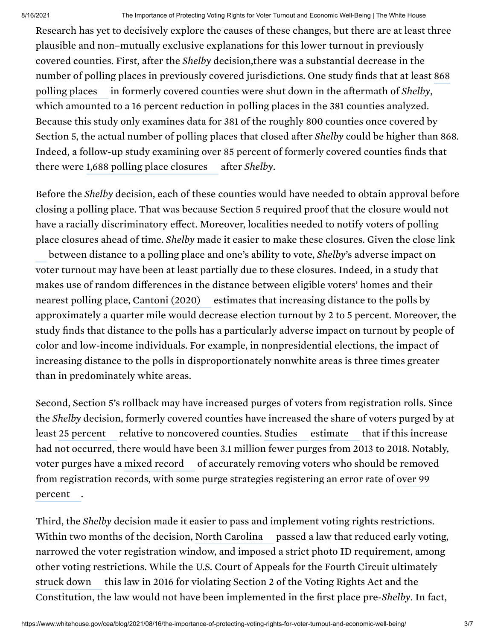8/16/2021 The Importance of Protecting Voting Rights for Voter Turnout and Economic Well-Being | The White House

Research has yet to decisively explore the causes of these changes, but there are at least three plausible and non–mutually exclusive explanations for this lower turnout in previously covered counties. First, after the *Shelby* decision,there was a substantial decrease in the number of polling places in previously covered [jurisdictions.](http://civilrightsdocs.info/pdf/reports/2016/poll-closure-report-web.pdf) One study finds that at least 868 in formerly covered counties were shut down in the aftermath of *Shelby*, which amounted to a 16 percent reduction in polling places in the 381 counties analyzed. Because this study only examines data for 381 of the roughly 800 counties once covered by Section 5, the actual number of polling places that closed after *Shelby* could be higher than 868. Indeed, a follow-up study examining over 85 percent of formerly covered counties finds that there were 1,688 polling place [closures](http://civilrightsdocs.info/pdf/reports/Democracy-Diverted.pdf) after *Shelby*. polling places

Before the *Shelby* decision, each of these counties would have needed to obtain approval before closing a polling place. That was because Section 5 required proof that the closure would not have a racially discriminatory effect. Moreover, localities needed to notify voters of polling place closures ahead of time. *Shelby* made it easier to make these [closures.](https://www.aeaweb.org/articles?id=10.1257/app.20180306) Given the close link

between distance to a polling place and one's ability to vote, *Shelby*'s adverse impact on voter turnout may have been at least partially due to these closures. Indeed, in a study that makes use of random differences in the distance between eligible voters' homes and their nearest polling place, [Cantoni](https://pubs.aeaweb.org/doi/pdfplus/10.1257/app.20180306) (2020) — estimates that increasing distance to the polls by approximately a quarter mile would decrease election turnout by 2 to 5 percent. Moreover, the study finds that distance to the polls has a particularly adverse impact on turnout by people of color and low-income individuals. For example, in nonpresidential elections, the impact of increasing distance to the polls in disproportionately nonwhite areas is three times greater than in predominately white areas.

Second, Section 5's rollback may have increased purges of voters from registration rolls. Since the *Shelby* decision, formerly covered counties have increased the share of voters purged by at least 25 [percent](https://www.brennancenter.org/our-work/analysis-opinion/voter-purge-rates-remain-high-analysis-finds) — relative to noncovered counties. [Studies](https://www.brennancenter.org/our-work/research-reports/purges-growing-threat-right-vote) — [estimate](https://www.brennancenter.org/our-work/analysis-opinion/voter-purge-rates-remain-high-analysis-finds) — that if this increase had not occurred, there would have been 3.1 million fewer purges from 2013 to 2018. Notably, voter purges have a mixed [record](https://www.brennancenter.org/our-work/research-reports/purges-growing-threat-right-vote) — of accurately removing voters who should be removed from [registration](https://scholar.harvard.edu/files/morse/files/1p1v.pdf) records, with some purge strategies registering an error rate of over 99 . percent

Third, the *Shelby* decision made it easier to pass and implement voting rights restrictions. Within two months of the decision, North [Carolina](https://www.brennancenter.org/our-work/research-reports/shelby-county-one-year-later#_edn8) — passed a law that reduced early voting, narrowed the voter registration window, and imposed a strict photo ID requirement, among other voting restrictions. While the U.S. Court of Appeals for the Fourth Circuit ultimately this law in 2016 for violating Section 2 of the Voting Rights Act and the Constitution, the law would not have been implemented in the first place pre-*Shelby*. In fact, [struck](https://www.brennancenter.org/our-work/court-cases/north-carolina-naacp-v-mccrory) down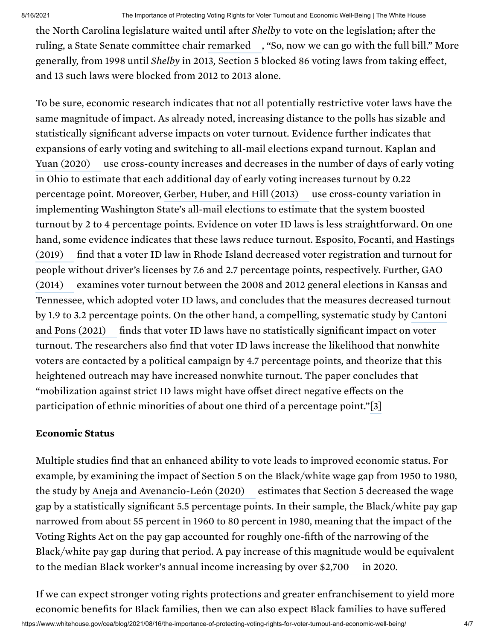the North Carolina legislature waited until after *Shelby* to vote on the legislation; after the ruling, a State Senate committee chair [remarked](https://www.wral.com/nc-senator-voter-id-bill-moving-ahead-with-ruling/12591669/) , "So, now we can go with the full bill." More generally, from 1998 until *Shelby* in 2013*,* Section 5 blocked 86 voting laws from taking effect, and 13 such laws were blocked from 2012 to 2013 alone.

To be sure, economic research indicates that not all potentially restrictive voter laws have the same magnitude of impact. As already noted, increasing distance to the polls has sizable and statistically significant adverse impacts on voter turnout. Evidence further indicates that expansions of early voting and switching to all-mail elections expand turnout. Kaplan and use [cross-county](https://www.aeaweb.org/articles?id=10.1257/app.20180192) increases and decreases in the number of days of early voting in Ohio to estimate that each additional day of early voting increases turnout by 0.22 percentage point. Moreover, [Gerber,](https://www.cambridge.org/core/journals/political-science-research-and-methods/article/abs/identifying-the-effect-of-allmail-elections-on-turnout-staggered-reform-in-the-evergreen-state/3725E51B9B7F331D77DC9B49130D7F7D) Huber, and Hill (2013) — use cross-county variation in implementing Washington State's all-mail elections to estimate that the system boosted turnout by 2 to 4 percentage points. Evidence on voter ID laws is less straightforward. On one hand, some evidence indicates that these laws reduce turnout. Esposito, Focanti, and Hastings find that a voter ID law in Rhode Island decreased voter [registration](https://www.nber.org/system/files/working_papers/w25503/w25503.pdf) and turnout for people without driver's licenses by 7.6 and 2.7 percentage points, [respectively.](https://www.gao.gov/products/gao-14-634) Further, GAO examines voter turnout between the 2008 and 2012 general elections in Kansas and Tennessee, which adopted voter ID laws, and concludes that the measures decreased turnout by 1.9 to 3.2 percentage points. On the other hand, a [compelling,](https://www.nber.org/system/files/working_papers/w25522/w25522.pdf) systematic study by Cantoni finds that voter ID laws have no statistically significant impact on voter turnout. The researchers also find that voter ID laws increase the likelihood that nonwhite voters are contacted by a political campaign by 4.7 percentage points, and theorize that this heightened outreach may have increased nonwhite turnout. The paper concludes that "mobilization against strict ID laws might have offset direct negative effects on the participation of ethnic minorities of about one third of a percentage point."[3] Yuan (2020) (2019) (2014) and Pons (2021)

## Economic Status

Multiple studies find that an enhanced ability to vote leads to improved economic status. For example, by examining the impact of Section 5 on the Black/white wage gap from 1950 to 1980, the study by Aneja and [Avenancio-León](https://equitablegrowth.org/working-papers/the-effect-of-political-power-on-labor-market-inequality-evidence-from-the-1965-voting-rights-act/) (2020) — estimates that Section 5 decreased the wage gap by a statistically significant 5.5 percentage points. In their sample, the Black/white pay gap narrowed from about 55 percent in 1960 to 80 percent in 1980, meaning that the impact of the Voting Rights Act on the pay gap accounted for roughly one-fifth of the narrowing of the Black/white pay gap during that period. A pay increase of this magnitude would be equivalent to the median Black worker's annual income increasing by over [\\$2,700](https://www.bls.gov/webapps/legacy/cpswktab3.htm)  $\,$  in 2020.

If we can expect stronger voting rights protections and greater enfranchisement to yield more economic benefits for Black families, then we can also expect Black families to have suffered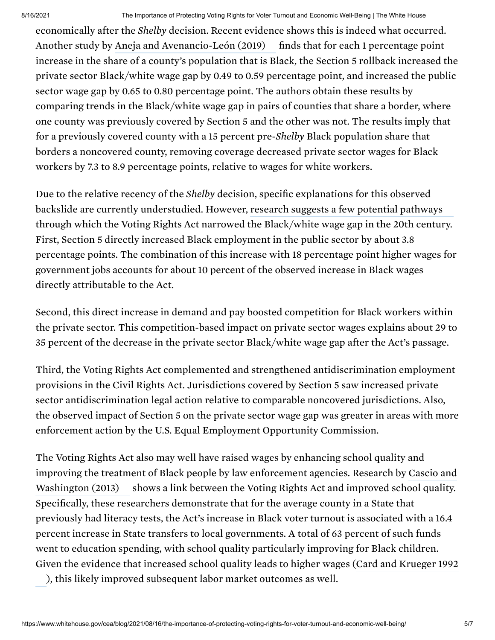economically after the *Shelby* decision. Recent evidence shows this is indeed what occurred. Another study by Aneja and [Avenancio-León](https://www.aeaweb.org/articles?id=10.1257/pandp.20191085) (2019) finds that for each 1 percentage point increase in the share of a county's population that is Black, the Section 5 rollback increased the private sector Black/white wage gap by 0.49 to 0.59 percentage point, and increased the public sector wage gap by 0.65 to 0.80 percentage point. The authors obtain these results by comparing trends in the Black/white wage gap in pairs of counties that share a border, where one county was previously covered by Section 5 and the other was not. The results imply that for a previously covered county with a 15 percent pre-*Shelby* Black population share that borders a noncovered county, removing coverage decreased private sector wages for Black workers by 7.3 to 8.9 percentage points, relative to wages for white workers.

Due to the relative recency of the *Shelby* decision, specific explanations for this observed backslide are currently understudied. However, research suggests a few potential [pathways](https://equitablegrowth.org/working-papers/the-effect-of-political-power-on-labor-market-inequality-evidence-from-the-1965-voting-rights-act/) through which the Voting Rights Act narrowed the Black/white wage gap in the 20th century. First, Section 5 directly increased Black employment in the public sector by about 3.8 percentage points. The combination of this increase with 18 percentage point higher wages for government jobs accounts for about 10 percent of the observed increase in Black wages directly attributable to the Act.

Second, this direct increase in demand and pay boosted competition for Black workers within the private sector. This competition-based impact on private sector wages explains about 29 to 35 percent of the decrease in the private sector Black/white wage gap after the Act's passage.

Third, the Voting Rights Act complemented and strengthened antidiscrimination employment provisions in the Civil Rights Act. Jurisdictions covered by Section 5 saw increased private sector antidiscrimination legal action relative to comparable noncovered jurisdictions. Also, the observed impact of Section 5 on the private sector wage gap was greater in areas with more enforcement action by the U.S. Equal Employment Opportunity Commission.

The Voting Rights Act also may well have raised wages by enhancing school quality and improving the treatment of Black people by law [enforcement](https://academic.oup.com/qje/article/129/1/379/1897098) agencies. Research by Cascio and shows a link between the Voting Rights Act and improved school quality. Specifically, these researchers demonstrate that for the average county in a State that previously had literacy tests, the Act's increase in Black voter turnout is associated with a 16.4 percent increase in State transfers to local governments. A total of 63 percent of such funds went to education spending, with school quality particularly improving for Black children. Given the evidence that increased school quality leads to higher wages ( Card and Krueger 1992Washington (2013)

), this likely improved [subsequent](https://davidcard.berkeley.edu/papers/school-quality-bw.pdf) labor market outcomes as well.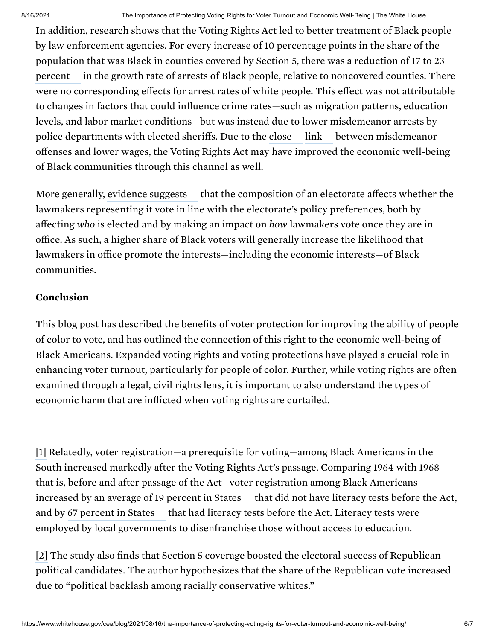In addition, research shows that the Voting Rights Act led to better treatment of Black people by law enforcement agencies. For every increase of 10 percentage points in the share of the population that was Black in counties covered by Section 5, there was a reduction of 17 to 23 in the growth rate of arrests of Black people, relative to [noncovered](https://www.nber.org/system/files/working_papers/w27463/w27463.pdf) counties. There were no corresponding effects for arrest rates of white people. This effect was not attributable to changes in factors that could influence crime rates—such as migration patterns, education levels, and labor market conditions—but was instead due to lower misdemeanor arrests by police departments with elected sheriffs. Due to the between misdemeanor [close](https://link.springer.com/article/10.1007/s12122-018-9280-0) [link](https://www.brennancenter.org/sites/default/files/2020-09/Conviction_Imprisonment_and_Lost_Earnings.pdf) offenses and lower wages, the Voting Rights Act may have improved the economic well-being of Black communities through this channel as well. percent

More generally, [evidence](https://www.sciencedirect.com/science/article/abs/pii/S0047272717302074) suggests — that the composition of an electorate affects whether the lawmakers representing it vote in line with the electorate's policy preferences, both by affecting *who* is elected and by making an impact on *how* lawmakers vote once they are in office. As such, a higher share of Black voters will generally increase the likelihood that lawmakers in office promote the interests—including the economic interests—of Black communities.

## Conclusion

This blog post has described the benefits of voter protection for improving the ability of people of color to vote, and has outlined the connection of this right to the economic well-being of Black Americans. Expanded voting rights and voting protections have played a crucial role in enhancing voter turnout, particularly for people of color. Further, while voting rights are often examined through a legal, civil rights lens, it is important to also understand the types of economic harm that are inflicted when voting rights are curtailed.

[1] Relatedly, voter registration—a prerequisite for voting—among Black Americans in the South increased markedly after the Voting Rights Act's passage. Comparing 1964 with 1968 that is, before and after passage of the Act—voter registration among Black Americans that did not have literacy tests before the Act, and by 67 [percent](https://academic.oup.com/qje/article/129/1/379/1897098) in States — that had literacy tests before the Act. Literacy tests were employed by local governments to disenfranchise those without access to education. increased by an average of 19 [percent](https://academic.oup.com/qje/article/129/1/379/1897098) in States

[2] The study also finds that Section 5 coverage boosted the electoral success of Republican political candidates. The author hypothesizes that the share of the Republican vote increased due to "political backlash among racially conservative whites."